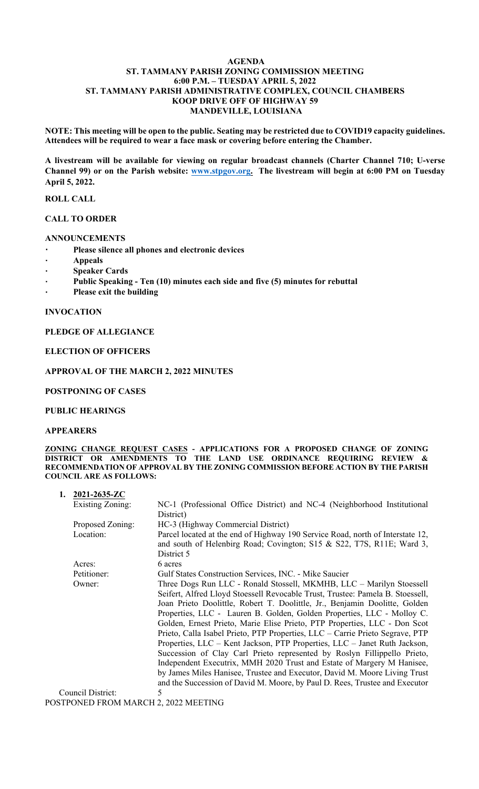### **AGENDA ST. TAMMANY PARISH ZONING COMMISSION MEETING 6:00 P.M. – TUESDAY APRIL 5, 2022 ST. TAMMANY PARISH ADMINISTRATIVE COMPLEX, COUNCIL CHAMBERS KOOP DRIVE OFF OF HIGHWAY 59 MANDEVILLE, LOUISIANA**

**NOTE: This meeting will be open to the public. Seating may be restricted due to COVID19 capacity guidelines. Attendees will be required to wear a face mask or covering before entering the Chamber.** 

**A livestream will be available for viewing on regular broadcast channels (Charter Channel 710; U-verse Channel 99) or on the Parish website: www.stpgov.org. The livestream will begin at 6:00 PM on Tuesday April 5, 2022.** 

## **ROLL CALL**

### **CALL TO ORDER**

### **ANNOUNCEMENTS**

- ⋅ **Please silence all phones and electronic devices**
- ⋅ **Appeals**
- ⋅ **Speaker Cards**
- ⋅ **Public Speaking Ten (10) minutes each side and five (5) minutes for rebuttal**
- ⋅ **Please exit the building**

#### **INVOCATION**

### **PLEDGE OF ALLEGIANCE**

### **ELECTION OF OFFICERS**

### **APPROVAL OF THE MARCH 2, 2022 MINUTES**

### **POSTPONING OF CASES**

### **PUBLIC HEARINGS**

### **APPEARERS**

**ZONING CHANGE REQUEST CASES - APPLICATIONS FOR A PROPOSED CHANGE OF ZONING DISTRICT OR AMENDMENTS TO THE LAND USE ORDINANCE REQUIRING REVIEW & RECOMMENDATION OF APPROVAL BY THE ZONING COMMISSION BEFORE ACTION BY THE PARISH COUNCIL ARE AS FOLLOWS:** 

| 1. | 2021-2635-ZC                         |                                                                                |
|----|--------------------------------------|--------------------------------------------------------------------------------|
|    | <b>Existing Zoning:</b>              | NC-1 (Professional Office District) and NC-4 (Neighborhood Institutional       |
|    |                                      | District)                                                                      |
|    | Proposed Zoning:                     | HC-3 (Highway Commercial District)                                             |
|    | Location:                            | Parcel located at the end of Highway 190 Service Road, north of Interstate 12, |
|    |                                      | and south of Helenbirg Road; Covington; S15 & S22, T7S, R11E; Ward 3,          |
|    |                                      | District 5                                                                     |
|    | Acres:                               | 6 acres                                                                        |
|    | Petitioner:                          | Gulf States Construction Services, INC. - Mike Saucier                         |
|    | Owner:                               | Three Dogs Run LLC - Ronald Stossell, MKMHB, LLC - Marilyn Stoessell           |
|    |                                      | Seifert, Alfred Lloyd Stoessell Revocable Trust, Trustee: Pamela B. Stoessell, |
|    |                                      | Joan Prieto Doolittle, Robert T. Doolittle, Jr., Benjamin Doolitte, Golden     |
|    |                                      | Properties, LLC - Lauren B. Golden, Golden Properties, LLC - Molloy C.         |
|    |                                      | Golden, Ernest Prieto, Marie Elise Prieto, PTP Properties, LLC - Don Scot      |
|    |                                      | Prieto, Calla Isabel Prieto, PTP Properties, LLC - Carrie Prieto Segrave, PTP  |
|    |                                      | Properties, LLC - Kent Jackson, PTP Properties, LLC - Janet Ruth Jackson,      |
|    |                                      | Succession of Clay Carl Prieto represented by Roslyn Fillippello Prieto,       |
|    |                                      | Independent Executrix, MMH 2020 Trust and Estate of Margery M Hanisee,         |
|    |                                      | by James Miles Hanisee, Trustee and Executor, David M. Moore Living Trust      |
|    |                                      | and the Succession of David M. Moore, by Paul D. Rees, Trustee and Executor    |
|    | Council District:                    | 5                                                                              |
|    | POSTPONED FROM MARCH 2, 2022 MEETING |                                                                                |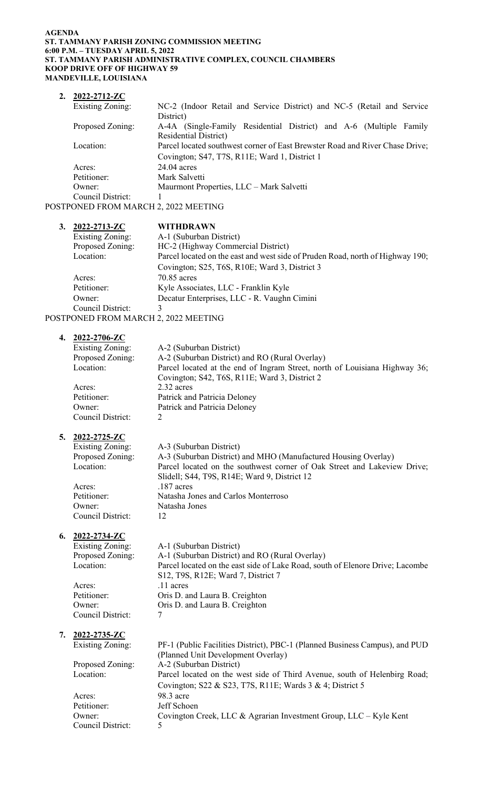#### **AGENDA ST. TAMMANY PARISH ZONING COMMISSION MEETING 6:00 P.M. – TUESDAY APRIL 5, 2022 ST. TAMMANY PARISH ADMINISTRATIVE COMPLEX, COUNCIL CHAMBERS KOOP DRIVE OFF OF HIGHWAY 59 MANDEVILLE, LOUISIANA**

| 2022-2712-ZC            |                                                                              |
|-------------------------|------------------------------------------------------------------------------|
| <b>Existing Zoning:</b> | NC-2 (Indoor Retail and Service District) and NC-5 (Retail and Service       |
|                         | District)                                                                    |
| Proposed Zoning:        | A-4A (Single-Family Residential District) and A-6 (Multiple Family           |
|                         | <b>Residential District)</b>                                                 |
| Location:               | Parcel located southwest corner of East Brewster Road and River Chase Drive; |
|                         | Covington; S47, T7S, R11E; Ward 1, District 1                                |
| Acres:                  | $24.04$ acres                                                                |
| Petitioner:             | Mark Salvetti                                                                |
| Owner:                  | Maurmont Properties, LLC - Mark Salvetti                                     |
| Council District:       |                                                                              |

## POSTPONED FROM MARCH 2, 2022 MEETING

| 2022-2713-ZC                         | WITHDRAWN                                                                      |
|--------------------------------------|--------------------------------------------------------------------------------|
| <b>Existing Zoning:</b>              | A-1 (Suburban District)                                                        |
| Proposed Zoning:                     | HC-2 (Highway Commercial District)                                             |
| Location:                            | Parcel located on the east and west side of Pruden Road, north of Highway 190; |
|                                      | Covington; S25, T6S, R10E; Ward 3, District 3                                  |
| Acres:                               | 70.85 acres                                                                    |
| Petitioner:                          | Kyle Associates, LLC - Franklin Kyle                                           |
| Owner:                               | Decatur Enterprises, LLC - R. Vaughn Cimini                                    |
| Council District:                    | 3                                                                              |
| POSTPONED FROM MARCH 2, 2022 MEETING |                                                                                |

**4. 2022-2706-ZC** 

| A-2 (Suburban District)                                                    |
|----------------------------------------------------------------------------|
| A-2 (Suburban District) and RO (Rural Overlay)                             |
| Parcel located at the end of Ingram Street, north of Louisiana Highway 36; |
| Covington; S42, T6S, R11E; Ward 3, District 2                              |
| 2.32 acres                                                                 |
| Patrick and Patricia Deloney                                               |
| Patrick and Patricia Deloney                                               |
|                                                                            |
|                                                                            |

## **5. 2022-2725-ZC**

| Existing Zoning:  | A-3 (Suburban District)                                                  |
|-------------------|--------------------------------------------------------------------------|
| Proposed Zoning:  | A-3 (Suburban District) and MHO (Manufactured Housing Overlay)           |
| Location:         | Parcel located on the southwest corner of Oak Street and Lakeview Drive; |
|                   | Slidell; S44, T9S, R14E; Ward 9, District 12                             |
| Acres:            | $.187$ acres                                                             |
| Petitioner:       | Natasha Jones and Carlos Monterroso                                      |
| Owner:            | Natasha Jones                                                            |
| Council District: | 12                                                                       |
|                   |                                                                          |

**6. 2022-2734-ZC** 

Existing Zoning: <br> A-1 (Suburban District)<br>
A-1 (Suburban District) A-1 (Suburban District) and RO (Rural Overlay) Location: Parcel located on the east side of Lake Road, south of Elenore Drive; Lacombe S12, T9S, R12E; Ward 7, District 7 Acres: .11 acres<br>Petitioner: .11 acres<br>Oris D. a Petitioner: Oris D. and Laura B. Creighton<br>Owner: Oris D. and Laura B. Creighton Oris D. and Laura B. Creighton Council District: 7

**7. 2022-2735-ZC** 

| Existing Zoning:  | PF-1 (Public Facilities District), PBC-1 (Planned Business Campus), and PUD |
|-------------------|-----------------------------------------------------------------------------|
|                   | (Planned Unit Development Overlay)                                          |
| Proposed Zoning:  | A-2 (Suburban District)                                                     |
| Location:         | Parcel located on the west side of Third Avenue, south of Helenbirg Road;   |
|                   | Covington; S22 & S23, T7S, R11E; Wards 3 & 4; District 5                    |
| Acres:            | 98.3 acre                                                                   |
| Petitioner:       | Jeff Schoen                                                                 |
| Owner:            | Covington Creek, LLC & Agrarian Investment Group, LLC - Kyle Kent           |
| Council District: | 5                                                                           |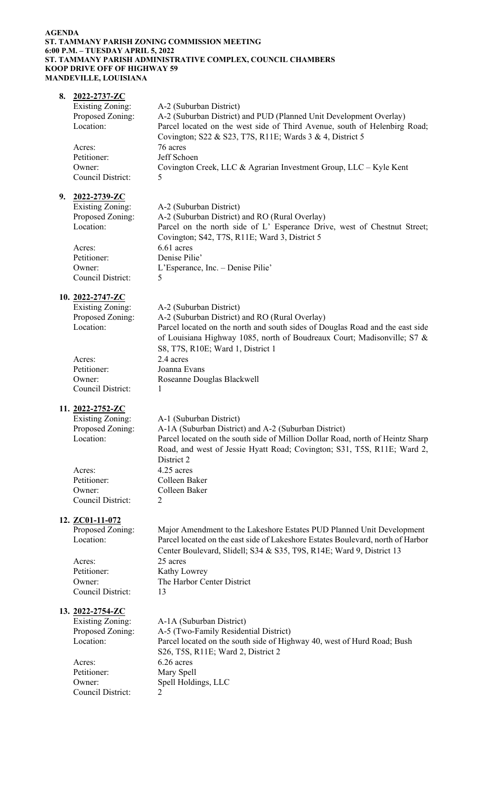### **AGENDA ST. TAMMANY PARISH ZONING COMMISSION MEETING 6:00 P.M. – TUESDAY APRIL 5, 2022 ST. TAMMANY PARISH ADMINISTRATIVE COMPLEX, COUNCIL CHAMBERS KOOP DRIVE OFF OF HIGHWAY 59 MANDEVILLE, LOUISIANA**

| 8. | 2022-2737-ZC<br><b>Existing Zoning:</b><br>Proposed Zoning:<br>Location:<br>Acres:<br>Petitioner:<br>Owner:<br>Council District: | A-2 (Suburban District)<br>A-2 (Suburban District) and PUD (Planned Unit Development Overlay)<br>Parcel located on the west side of Third Avenue, south of Helenbirg Road;<br>Covington; S22 & S23, T7S, R11E; Wards 3 & 4, District 5<br>76 acres<br>Jeff Schoen<br>Covington Creek, LLC & Agrarian Investment Group, LLC - Kyle Kent<br>5 |
|----|----------------------------------------------------------------------------------------------------------------------------------|---------------------------------------------------------------------------------------------------------------------------------------------------------------------------------------------------------------------------------------------------------------------------------------------------------------------------------------------|
| 9. | 2022-2739-ZC<br><b>Existing Zoning:</b><br>Proposed Zoning:<br>Location:<br>Acres:<br>Petitioner:<br>Owner:<br>Council District: | A-2 (Suburban District)<br>A-2 (Suburban District) and RO (Rural Overlay)<br>Parcel on the north side of L' Esperance Drive, west of Chestnut Street;<br>Covington; S42, T7S, R11E; Ward 3, District 5<br>6.61 acres<br>Denise Pilie'<br>L'Esperance, Inc. – Denise Pilie'<br>5                                                             |
|    | 10. 2022-2747-ZC<br><b>Existing Zoning:</b><br>Proposed Zoning:<br>Location:                                                     | A-2 (Suburban District)<br>A-2 (Suburban District) and RO (Rural Overlay)<br>Parcel located on the north and south sides of Douglas Road and the east side<br>of Louisiana Highway 1085, north of Boudreaux Court; Madisonville; S7 &<br>S8, T7S, R10E; Ward 1, District 1                                                                  |
|    | Acres:<br>Petitioner:<br>Owner:<br>Council District:                                                                             | 2.4 acres<br>Joanna Evans<br>Roseanne Douglas Blackwell<br>1                                                                                                                                                                                                                                                                                |
|    | 11. 2022-2752-ZC<br><b>Existing Zoning:</b><br>Proposed Zoning:<br>Location:<br>Acres:                                           | A-1 (Suburban District)<br>A-1A (Suburban District) and A-2 (Suburban District)<br>Parcel located on the south side of Million Dollar Road, north of Heintz Sharp<br>Road, and west of Jessie Hyatt Road; Covington; S31, T5S, R11E; Ward 2,<br>District 2<br>4.25 acres                                                                    |
|    | Petitioner:<br>Owner:<br>Council District:                                                                                       | Colleen Baker<br>Colleen Baker<br>2                                                                                                                                                                                                                                                                                                         |
|    | 12. ZC01-11-072<br>Proposed Zoning:<br>Location:                                                                                 | Major Amendment to the Lakeshore Estates PUD Planned Unit Development<br>Parcel located on the east side of Lakeshore Estates Boulevard, north of Harbor<br>Center Boulevard, Slidell; S34 & S35, T9S, R14E; Ward 9, District 13                                                                                                            |
|    | Acres:<br>Petitioner:<br>Owner:<br>Council District:                                                                             | 25 acres<br>Kathy Lowrey<br>The Harbor Center District<br>13                                                                                                                                                                                                                                                                                |
|    | 13. 2022-2754-ZC<br><b>Existing Zoning:</b><br>Proposed Zoning:<br>Location:                                                     | A-1A (Suburban District)<br>A-5 (Two-Family Residential District)<br>Parcel located on the south side of Highway 40, west of Hurd Road; Bush<br>S26, T5S, R11E; Ward 2, District 2                                                                                                                                                          |
|    | Acres:<br>Petitioner:<br>Owner:<br><b>Council District:</b>                                                                      | 6.26 acres<br>Mary Spell<br>Spell Holdings, LLC<br>2                                                                                                                                                                                                                                                                                        |